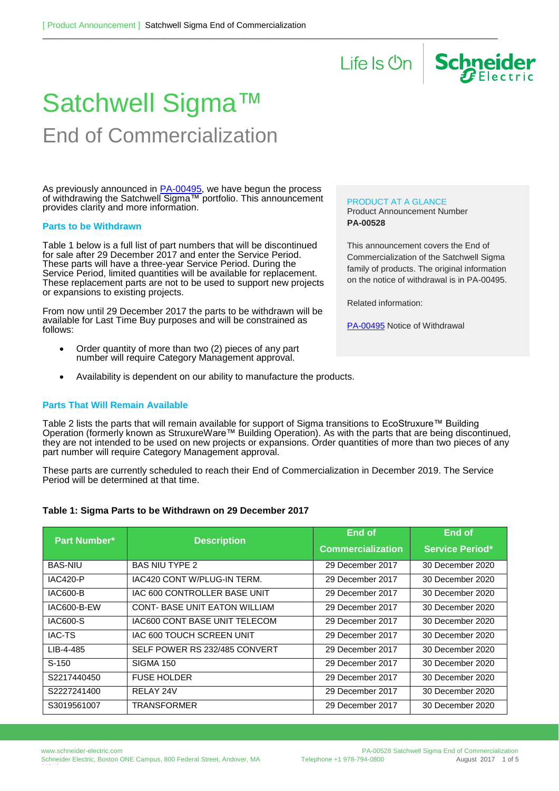

# Satchwell Sigma™ End of Commercialization

As previously announced in <u>PA-00495</u>, we have begun the process of withdrawing the Satchwell Sigma™ portfolio. This announcement provides clarity and more information.

#### **Parts to be Withdrawn**

Table 1 below is a full list of part numbers that will be discontinued for sale after 29 December 2017 and enter the Service Period. These parts will have a three-year Service Period. During the Service Period, limited quantities will be available for replacement. These replacement parts are not to be used to support new projects or expansions to existing projects.

From now until 29 December 2017 the parts to be withdrawn will be available for Last Time Buy purposes and will be constrained as follows:

- Order quantity of more than two (2) pieces of any part number will require Category Management approval.
- Availability is dependent on our ability to manufacture the products.

## **Parts That Will Remain Available**

PRODUCT AT A GLANCE

Product Announcement Number **PA-00528**

This announcement covers the End of Commercialization of the Satchwell Sigma family of products. The original information on the notice of withdrawal is in PA-00495.

Related information:

[PA-00495](https://ecobuilding.schneider-electric.com/search?documentUUID=3da469cf-ec89-40fa-b8b2-785dd107ec8a&title=Notice%20of%20Withdrawal%20-%20Satchwell%20Sigma%20-%20PA-00495) Notice of Withdrawal

Table 2 lists the parts that will remain available for support of Sigma transitions to EcoStruxure™ Building Operation (formerly known as StruxureWare™ Building Operation). As with the parts that are being discontinued, they are not intended to be used on new projects or expansions. Order quantities of more than two pieces of any part number will require Category Management approval.

 $\_$  ,  $\_$  ,  $\_$  ,  $\_$  ,  $\_$  ,  $\_$  ,  $\_$  ,  $\_$  ,  $\_$  ,  $\_$  ,  $\_$  ,  $\_$  ,  $\_$  ,  $\_$  ,  $\_$  ,  $\_$  ,  $\_$  ,  $\_$  ,  $\_$  ,  $\_$  ,  $\_$  ,  $\_$  ,  $\_$  ,  $\_$  ,  $\_$  ,  $\_$  ,  $\_$  ,  $\_$  ,  $\_$  ,  $\_$  ,  $\_$  ,  $\_$  ,  $\_$  ,  $\_$  ,  $\_$  ,  $\_$  ,  $\_$  ,

These parts are currently scheduled to reach their End of Commercialization in December 2019. The Service Period will be determined at that time.

## **Table 1: Sigma Parts to be Withdrawn on 29 December 2017**

| Part Number*       | <b>Description</b>                  | <b>End of</b>            | <b>End of</b>          |
|--------------------|-------------------------------------|--------------------------|------------------------|
|                    |                                     | <b>Commercialization</b> | <b>Service Period*</b> |
| <b>BAS-NIU</b>     | <b>BAS NIU TYPE 2</b>               | 29 December 2017         | 30 December 2020       |
| <b>IAC420-P</b>    | IAC420 CONT W/PLUG-IN TERM.         | 29 December 2017         | 30 December 2020       |
| <b>IAC600-B</b>    | IAC 600 CONTROLLER BASE UNIT        | 29 December 2017         | 30 December 2020       |
| <b>IAC600-B-EW</b> | <b>CONT-BASE UNIT EATON WILLIAM</b> | 29 December 2017         | 30 December 2020       |
| IAC600-S           | IAC600 CONT BASE UNIT TELECOM       | 29 December 2017         | 30 December 2020       |
| <b>IAC-TS</b>      | IAC 600 TOUCH SCREEN UNIT           | 29 December 2017         | 30 December 2020       |
| LIB-4-485          | SELF POWER RS 232/485 CONVERT       | 29 December 2017         | 30 December 2020       |
| $S-150$            | <b>SIGMA 150</b>                    | 29 December 2017         | 30 December 2020       |
| S2217440450        | <b>FUSE HOLDER</b>                  | 29 December 2017         | 30 December 2020       |
| S2227241400        | RELAY 24V                           | 29 December 2017         | 30 December 2020       |
| S3019561007        | TRANSFORMER                         | 29 December 2017         | 30 December 2020       |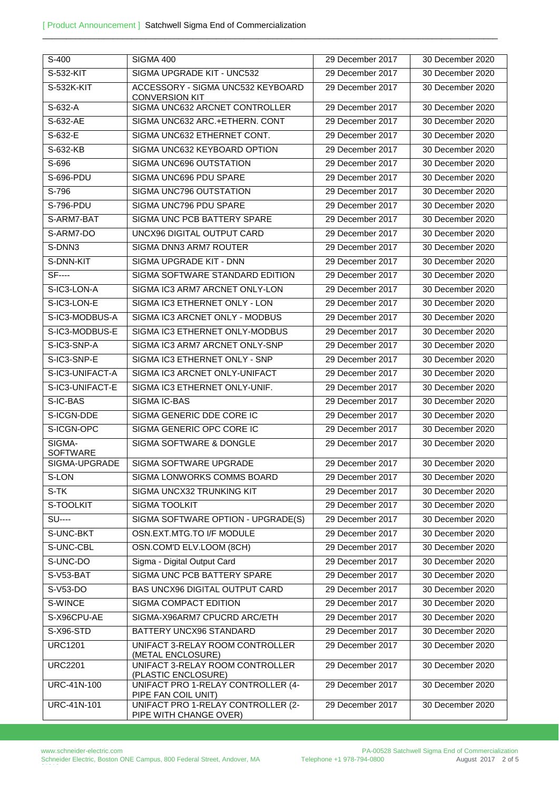| S-400                     | <b>SIGMA 400</b>                                             | 29 December 2017 | 30 December 2020 |
|---------------------------|--------------------------------------------------------------|------------------|------------------|
| S-532-KIT                 | SIGMA UPGRADE KIT - UNC532                                   | 29 December 2017 | 30 December 2020 |
| S-532K-KIT                | ACCESSORY - SIGMA UNC532 KEYBOARD<br><b>CONVERSION KIT</b>   | 29 December 2017 | 30 December 2020 |
| $S-632-A$                 | SIGMA UNC632 ARCNET CONTROLLER                               | 29 December 2017 | 30 December 2020 |
| S-632-AE                  | SIGMA UNC632 ARC.+ETHERN. CONT                               | 29 December 2017 | 30 December 2020 |
| S-632-E                   | SIGMA UNC632 ETHERNET CONT.                                  | 29 December 2017 | 30 December 2020 |
| S-632-KB                  | SIGMA UNC632 KEYBOARD OPTION                                 | 29 December 2017 | 30 December 2020 |
| S-696                     | SIGMA UNC696 OUTSTATION                                      | 29 December 2017 | 30 December 2020 |
| S-696-PDU                 | SIGMA UNC696 PDU SPARE                                       | 29 December 2017 | 30 December 2020 |
| S-796                     | SIGMA UNC796 OUTSTATION                                      | 29 December 2017 | 30 December 2020 |
| S-796-PDU                 | SIGMA UNC796 PDU SPARE                                       | 29 December 2017 | 30 December 2020 |
| S-ARM7-BAT                | SIGMA UNC PCB BATTERY SPARE                                  | 29 December 2017 | 30 December 2020 |
| S-ARM7-DO                 | UNCX96 DIGITAL OUTPUT CARD                                   | 29 December 2017 | 30 December 2020 |
| S-DNN3                    | SIGMA DNN3 ARM7 ROUTER                                       | 29 December 2017 | 30 December 2020 |
| S-DNN-KIT                 | SIGMA UPGRADE KIT - DNN                                      | 29 December 2017 | 30 December 2020 |
| <b>SF----</b>             | SIGMA SOFTWARE STANDARD EDITION                              | 29 December 2017 | 30 December 2020 |
| S-IC3-LON-A               | SIGMA IC3 ARM7 ARCNET ONLY-LON                               | 29 December 2017 | 30 December 2020 |
| S-IC3-LON-E               | SIGMA IC3 ETHERNET ONLY - LON                                | 29 December 2017 | 30 December 2020 |
| S-IC3-MODBUS-A            | SIGMA IC3 ARCNET ONLY - MODBUS                               | 29 December 2017 | 30 December 2020 |
| S-IC3-MODBUS-E            | SIGMA IC3 ETHERNET ONLY-MODBUS                               | 29 December 2017 | 30 December 2020 |
| S-IC3-SNP-A               | SIGMA IC3 ARM7 ARCNET ONLY-SNP                               | 29 December 2017 | 30 December 2020 |
| S-IC3-SNP-E               | SIGMA IC3 ETHERNET ONLY - SNP                                | 29 December 2017 | 30 December 2020 |
| S-IC3-UNIFACT-A           | SIGMA IC3 ARCNET ONLY-UNIFACT                                | 29 December 2017 | 30 December 2020 |
| S-IC3-UNIFACT-E           | SIGMA IC3 ETHERNET ONLY-UNIF.                                | 29 December 2017 | 30 December 2020 |
| S-IC-BAS                  | SIGMA IC-BAS                                                 | 29 December 2017 | 30 December 2020 |
| S-ICGN-DDE                | SIGMA GENERIC DDE CORE IC                                    | 29 December 2017 | 30 December 2020 |
| S-ICGN-OPC                | SIGMA GENERIC OPC CORE IC                                    | 29 December 2017 | 30 December 2020 |
| SIGMA-<br><b>SOFTWARE</b> | SIGMA SOFTWARE & DONGLE                                      | 29 December 2017 | 30 December 2020 |
| SIGMA-UPGRADE             | SIGMA SOFTWARE UPGRADE                                       | 29 December 2017 | 30 December 2020 |
| S-LON                     | SIGMA LONWORKS COMMS BOARD                                   | 29 December 2017 | 30 December 2020 |
| S-TK                      | SIGMA UNCX32 TRUNKING KIT                                    | 29 December 2017 | 30 December 2020 |
| S-TOOLKIT                 | SIGMA TOOLKIT                                                | 29 December 2017 | 30 December 2020 |
| <b>SU----</b>             | SIGMA SOFTWARE OPTION - UPGRADE(S)                           | 29 December 2017 | 30 December 2020 |
| S-UNC-BKT                 | OSN.EXT.MTG.TO I/F MODULE                                    | 29 December 2017 | 30 December 2020 |
| S-UNC-CBL                 | OSN.COM'D ELV.LOOM (8CH)                                     | 29 December 2017 | 30 December 2020 |
| S-UNC-DO                  | Sigma - Digital Output Card                                  | 29 December 2017 | 30 December 2020 |
| S-V53-BAT                 | SIGMA UNC PCB BATTERY SPARE                                  | 29 December 2017 | 30 December 2020 |
| $S-V53-DO$                | <b>BAS UNCX96 DIGITAL OUTPUT CARD</b>                        | 29 December 2017 | 30 December 2020 |
| S-WINCE                   | SIGMA COMPACT EDITION                                        | 29 December 2017 | 30 December 2020 |
| S-X96CPU-AE               | SIGMA-X96ARM7 CPUCRD ARC/ETH                                 | 29 December 2017 | 30 December 2020 |
| S-X96-STD                 | BATTERY UNCX96 STANDARD                                      | 29 December 2017 | 30 December 2020 |
| <b>URC1201</b>            | UNIFACT 3-RELAY ROOM CONTROLLER<br>(METAL ENCLOSURE)         | 29 December 2017 | 30 December 2020 |
| <b>URC2201</b>            | UNIFACT 3-RELAY ROOM CONTROLLER<br>(PLASTIC ENCLOSURE)       | 29 December 2017 | 30 December 2020 |
| URC-41N-100               | UNIFACT PRO 1-RELAY CONTROLLER (4-<br>PIPE FAN COIL UNIT)    | 29 December 2017 | 30 December 2020 |
| URC-41N-101               | UNIFACT PRO 1-RELAY CONTROLLER (2-<br>PIPE WITH CHANGE OVER) | 29 December 2017 | 30 December 2020 |

 $\_$  ,  $\_$  ,  $\_$  ,  $\_$  ,  $\_$  ,  $\_$  ,  $\_$  ,  $\_$  ,  $\_$  ,  $\_$  ,  $\_$  ,  $\_$  ,  $\_$  ,  $\_$  ,  $\_$  ,  $\_$  ,  $\_$  ,  $\_$  ,  $\_$  ,  $\_$  ,  $\_$  ,  $\_$  ,  $\_$  ,  $\_$  ,  $\_$  ,  $\_$  ,  $\_$  ,  $\_$  ,  $\_$  ,  $\_$  ,  $\_$  ,  $\_$  ,  $\_$  ,  $\_$  ,  $\_$  ,  $\_$  ,  $\_$  ,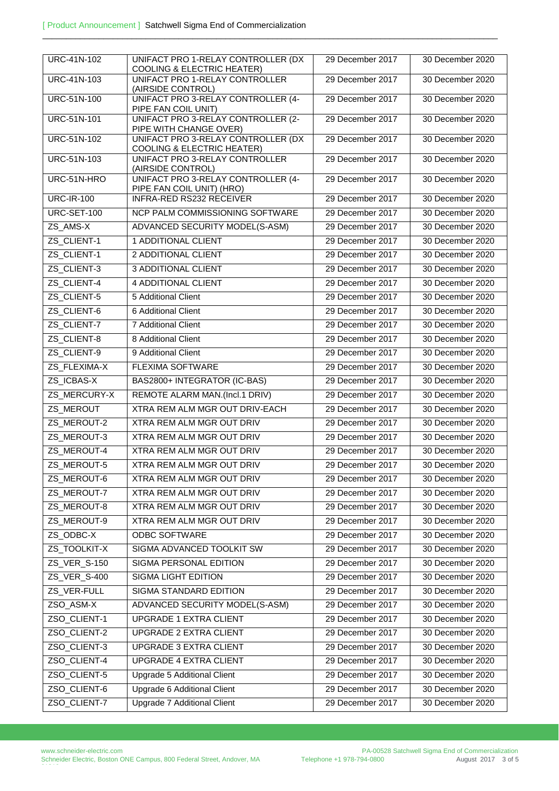| URC-41N-102        | UNIFACT PRO 1-RELAY CONTROLLER (DX<br><b>COOLING &amp; ELECTRIC HEATER)</b> | 29 December 2017 | 30 December 2020 |
|--------------------|-----------------------------------------------------------------------------|------------------|------------------|
| <b>URC-41N-103</b> | UNIFACT PRO 1-RELAY CONTROLLER<br>(AIRSIDE CONTROL)                         | 29 December 2017 | 30 December 2020 |
| <b>URC-51N-100</b> | UNIFACT PRO 3-RELAY CONTROLLER (4-<br>PIPE FAN COIL UNIT)                   | 29 December 2017 | 30 December 2020 |
| <b>URC-51N-101</b> | UNIFACT PRO 3-RELAY CONTROLLER (2-<br>PIPE WITH CHANGE OVER)                | 29 December 2017 | 30 December 2020 |
| <b>URC-51N-102</b> | UNIFACT PRO 3-RELAY CONTROLLER (DX<br><b>COOLING &amp; ELECTRIC HEATER)</b> | 29 December 2017 | 30 December 2020 |
| <b>URC-51N-103</b> | UNIFACT PRO 3-RELAY CONTROLLER<br>(AIRSIDE CONTROL)                         | 29 December 2017 | 30 December 2020 |
| URC-51N-HRO        | UNIFACT PRO 3-RELAY CONTROLLER (4-<br>PIPE FAN COIL UNIT) (HRO)             | 29 December 2017 | 30 December 2020 |
| <b>URC-IR-100</b>  | <b>INFRA-RED RS232 RECEIVER</b>                                             | 29 December 2017 | 30 December 2020 |
| URC-SET-100        | NCP PALM COMMISSIONING SOFTWARE                                             | 29 December 2017 | 30 December 2020 |
| ZS_AMS-X           | ADVANCED SECURITY MODEL(S-ASM)                                              | 29 December 2017 | 30 December 2020 |
| ZS_CLIENT-1        | 1 ADDITIONAL CLIENT                                                         | 29 December 2017 | 30 December 2020 |
| ZS_CLIENT-1        | 2 ADDITIONAL CLIENT                                                         | 29 December 2017 | 30 December 2020 |
| ZS CLIENT-3        | <b>3 ADDITIONAL CLIENT</b>                                                  | 29 December 2017 | 30 December 2020 |
| ZS CLIENT-4        | <b>4 ADDITIONAL CLIENT</b>                                                  | 29 December 2017 | 30 December 2020 |
| ZS CLIENT-5        | 5 Additional Client                                                         | 29 December 2017 | 30 December 2020 |
| ZS_CLIENT-6        | 6 Additional Client                                                         | 29 December 2017 | 30 December 2020 |
| ZS_CLIENT-7        | <b>7 Additional Client</b>                                                  | 29 December 2017 | 30 December 2020 |
| ZS_CLIENT-8        | 8 Additional Client                                                         | 29 December 2017 | 30 December 2020 |
| ZS_CLIENT-9        | 9 Additional Client                                                         | 29 December 2017 | 30 December 2020 |
| ZS_FLEXIMA-X       | FLEXIMA SOFTWARE                                                            | 29 December 2017 | 30 December 2020 |
| ZS_ICBAS-X         | BAS2800+ INTEGRATOR (IC-BAS)                                                | 29 December 2017 | 30 December 2020 |
| ZS_MERCURY-X       | REMOTE ALARM MAN.(Incl.1 DRIV)                                              | 29 December 2017 | 30 December 2020 |
| ZS_MEROUT          | XTRA REM ALM MGR OUT DRIV-EACH                                              | 29 December 2017 | 30 December 2020 |
| ZS_MEROUT-2        | XTRA REM ALM MGR OUT DRIV                                                   | 29 December 2017 | 30 December 2020 |
| ZS_MEROUT-3        | <b>XTRA REM ALM MGR OUT DRIV</b>                                            | 29 December 2017 | 30 December 2020 |
| ZS_MEROUT-4        | <b>XTRA REM ALM MGR OUT DRIV</b>                                            | 29 December 2017 | 30 December 2020 |
| ZS MEROUT-5        | XTRA REM ALM MGR OUT DRIV                                                   | 29 December 2017 | 30 December 2020 |
| ZS_MEROUT-6        | XTRA REM ALM MGR OUT DRIV                                                   | 29 December 2017 | 30 December 2020 |
| ZS_MEROUT-7        | XTRA REM ALM MGR OUT DRIV                                                   | 29 December 2017 | 30 December 2020 |
| ZS_MEROUT-8        | XTRA REM ALM MGR OUT DRIV                                                   | 29 December 2017 | 30 December 2020 |
| ZS_MEROUT-9        | XTRA REM ALM MGR OUT DRIV                                                   | 29 December 2017 | 30 December 2020 |
| ZS_ODBC-X          | ODBC SOFTWARE                                                               | 29 December 2017 | 30 December 2020 |
| ZS_TOOLKIT-X       | SIGMA ADVANCED TOOLKIT SW                                                   | 29 December 2017 | 30 December 2020 |
| ZS_VER_S-150       | SIGMA PERSONAL EDITION                                                      | 29 December 2017 | 30 December 2020 |
| ZS_VER_S-400       | SIGMA LIGHT EDITION                                                         | 29 December 2017 | 30 December 2020 |
| ZS_VER-FULL        | SIGMA STANDARD EDITION                                                      | 29 December 2017 | 30 December 2020 |
| ZSO_ASM-X          | ADVANCED SECURITY MODEL(S-ASM)                                              | 29 December 2017 | 30 December 2020 |
| ZSO_CLIENT-1       | <b>UPGRADE 1 EXTRA CLIENT</b>                                               | 29 December 2017 | 30 December 2020 |
| ZSO_CLIENT-2       | UPGRADE 2 EXTRA CLIENT                                                      | 29 December 2017 | 30 December 2020 |
| ZSO_CLIENT-3       | UPGRADE 3 EXTRA CLIENT                                                      | 29 December 2017 | 30 December 2020 |
| ZSO_CLIENT-4       | UPGRADE 4 EXTRA CLIENT                                                      | 29 December 2017 | 30 December 2020 |
| ZSO_CLIENT-5       | Upgrade 5 Additional Client                                                 | 29 December 2017 | 30 December 2020 |
| ZSO_CLIENT-6       | Upgrade 6 Additional Client                                                 | 29 December 2017 | 30 December 2020 |
| ZSO_CLIENT-7       | Upgrade 7 Additional Client                                                 | 29 December 2017 | 30 December 2020 |
|                    |                                                                             |                  |                  |

 $\_$  ,  $\_$  ,  $\_$  ,  $\_$  ,  $\_$  ,  $\_$  ,  $\_$  ,  $\_$  ,  $\_$  ,  $\_$  ,  $\_$  ,  $\_$  ,  $\_$  ,  $\_$  ,  $\_$  ,  $\_$  ,  $\_$  ,  $\_$  ,  $\_$  ,  $\_$  ,  $\_$  ,  $\_$  ,  $\_$  ,  $\_$  ,  $\_$  ,  $\_$  ,  $\_$  ,  $\_$  ,  $\_$  ,  $\_$  ,  $\_$  ,  $\_$  ,  $\_$  ,  $\_$  ,  $\_$  ,  $\_$  ,  $\_$  ,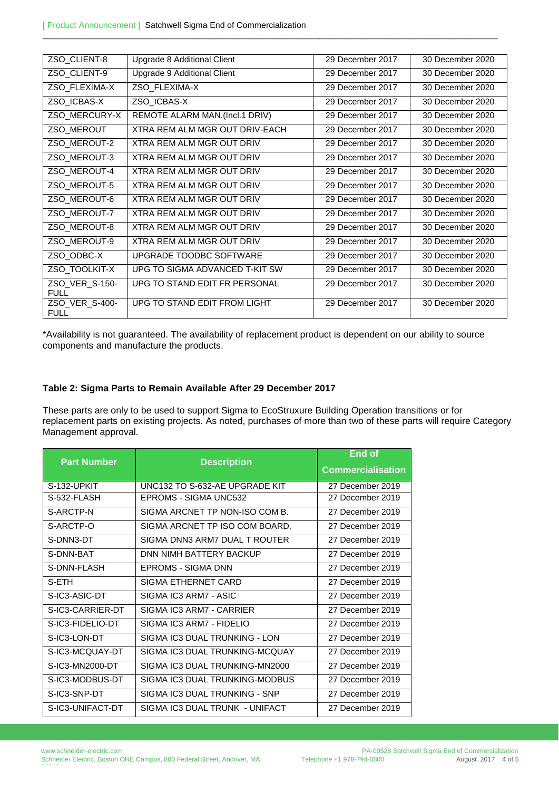| ZSO_CLIENT-8                  | Upgrade 8 Additional Client      | 29 December 2017 | 30 December 2020 |
|-------------------------------|----------------------------------|------------------|------------------|
| ZSO CLIENT-9                  | Upgrade 9 Additional Client      | 29 December 2017 | 30 December 2020 |
| ZSO_FLEXIMA-X                 | ZSO FLEXIMA-X                    | 29 December 2017 | 30 December 2020 |
| ZSO_ICBAS-X                   | ZSO_ICBAS-X                      | 29 December 2017 | 30 December 2020 |
| ZSO_MERCURY-X                 | REMOTE ALARM MAN.(Incl.1 DRIV)   | 29 December 2017 | 30 December 2020 |
| ZSO_MEROUT                    | XTRA REM ALM MGR OUT DRIV-FACH   | 29 December 2017 | 30 December 2020 |
| ZSO_MEROUT-2                  | <b>XTRA REM ALM MGR OUT DRIV</b> | 29 December 2017 | 30 December 2020 |
| ZSO_MEROUT-3                  | XTRA REM ALM MGR OUT DRIV        | 29 December 2017 | 30 December 2020 |
| ZSO MEROUT-4                  | XTRA REM ALM MGR OUT DRIV        | 29 December 2017 | 30 December 2020 |
| ZSO MEROUT-5                  | XTRA REM ALM MGR OUT DRIV        | 29 December 2017 | 30 December 2020 |
| ZSO MEROUT-6                  | XTRA REM ALM MGR OUT DRIV        | 29 December 2017 | 30 December 2020 |
| ZSO MEROUT-7                  | <b>XTRA REM ALM MGR OUT DRIV</b> | 29 December 2017 | 30 December 2020 |
| ZSO MEROUT-8                  | XTRA REM ALM MGR OUT DRIV        | 29 December 2017 | 30 December 2020 |
| ZSO MEROUT-9                  | XTRA REM ALM MGR OUT DRIV        | 29 December 2017 | 30 December 2020 |
| ZSO_ODBC-X                    | UPGRADE TOODBC SOFTWARE          | 29 December 2017 | 30 December 2020 |
| ZSO TOOLKIT-X                 | UPG TO SIGMA ADVANCED T-KIT SW   | 29 December 2017 | 30 December 2020 |
| ZSO_VER_S-150-<br><b>FULL</b> | UPG TO STAND EDIT FR PERSONAL    | 29 December 2017 | 30 December 2020 |
| ZSO_VER_S-400-<br><b>FULL</b> | UPG TO STAND EDIT FROM LIGHT     | 29 December 2017 | 30 December 2020 |

 $\_$  ,  $\_$  ,  $\_$  ,  $\_$  ,  $\_$  ,  $\_$  ,  $\_$  ,  $\_$  ,  $\_$  ,  $\_$  ,  $\_$  ,  $\_$  ,  $\_$  ,  $\_$  ,  $\_$  ,  $\_$  ,  $\_$  ,  $\_$  ,  $\_$  ,  $\_$  ,  $\_$  ,  $\_$  ,  $\_$  ,  $\_$  ,  $\_$  ,  $\_$  ,  $\_$  ,  $\_$  ,  $\_$  ,  $\_$  ,  $\_$  ,  $\_$  ,  $\_$  ,  $\_$  ,  $\_$  ,  $\_$  ,  $\_$  ,

\*Availability is not guaranteed. The availability of replacement product is dependent on our ability to source components and manufacture the products.

## **Table 2: Sigma Parts to Remain Available After 29 December 2017**

These parts are only to be used to support Sigma to EcoStruxure Building Operation transitions or for replacement parts on existing projects. As noted, purchases of more than two of these parts will require Category Management approval.

|                    |                                | End of                   |
|--------------------|--------------------------------|--------------------------|
| <b>Part Number</b> | <b>Description</b>             | <b>Commercialisation</b> |
| S-132-UPKIT        | UNC132 TO S-632-AE UPGRADE KIT | 27 December 2019         |
| S-532-FLASH        | EPROMS - SIGMA UNC532          | 27 December 2019         |
| S-ARCTP-N          | SIGMA ARCNET TP NON-ISO COM B. | 27 December 2019         |
| S-ARCTP-O          | SIGMA ARCNET TP ISO COM BOARD. | 27 December 2019         |
| S-DNN3-DT          | SIGMA DNN3 ARM7 DUAL T ROUTER  | 27 December 2019         |
| S-DNN-BAT          | DNN NIMH BATTERY BACKUP        | 27 December 2019         |
| S-DNN-FLASH        | EPROMS - SIGMA DNN             | 27 December 2019         |
| S-ETH              | SIGMA ETHERNET CARD            | 27 December 2019         |
| S-IC3-ASIC-DT      | SIGMA IC3 ARM7 - ASIC          | 27 December 2019         |
| S-IC3-CARRIER-DT   | SIGMA IC3 ARM7 - CARRIER       | 27 December 2019         |
| S-IC3-FIDELIO-DT   | SIGMA IC3 ARM7 - FIDELIO       | 27 December 2019         |
| S-IC3-LON-DT       | SIGMA IC3 DUAL TRUNKING - LON  | 27 December 2019         |
| S-IC3-MCQUAY-DT    | SIGMA IC3 DUAL TRUNKING-MCQUAY | 27 December 2019         |
| S-IC3-MN2000-DT    | SIGMA IC3 DUAL TRUNKING-MN2000 | 27 December 2019         |
| S-IC3-MODBUS-DT    | SIGMA IC3 DUAL TRUNKING-MODBUS | 27 December 2019         |
| S-IC3-SNP-DT       | SIGMA IC3 DUAL TRUNKING - SNP  | 27 December 2019         |
| S-IC3-UNIFACT-DT   | SIGMA IC3 DUAL TRUNK - UNIFACT | 27 December 2019         |

www.schneider-electric.com Schneider Electric, Boston ONE Campus, 800 Federal Street, Andover, MA